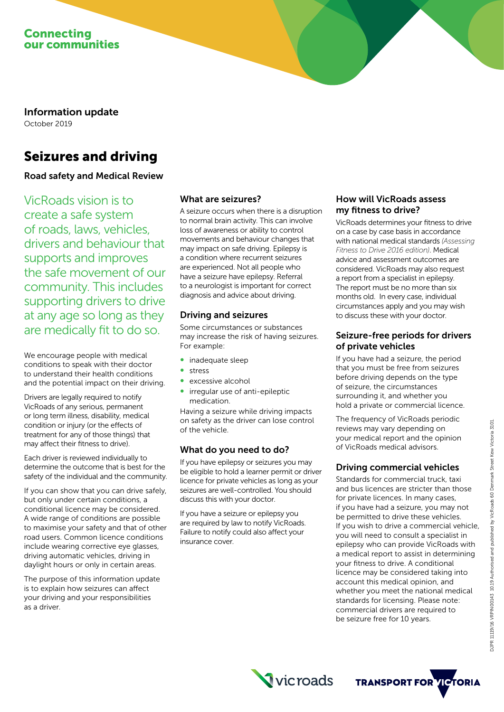

Information update October 2019

# Seizures and driving

## Road safety and Medical Review

VicRoads vision is to create a safe system of roads, laws, vehicles, drivers and behaviour that supports and improves the safe movement of our community. This includes supporting drivers to drive at any age so long as they are medically fit to do so.

We encourage people with medical conditions to speak with their doctor to understand their health conditions and the potential impact on their driving.

Drivers are legally required to notify VicRoads of any serious, permanent or long term illness, disability, medical condition or injury (or the effects of treatment for any of those things) that may affect their fitness to drive).

Each driver is reviewed individually to determine the outcome that is best for the safety of the individual and the community.

If you can show that you can drive safely, but only under certain conditions, a conditional licence may be considered. A wide range of conditions are possible to maximise your safety and that of other road users. Common licence conditions include wearing corrective eye glasses, driving automatic vehicles, driving in daylight hours or only in certain areas.

The purpose of this information update is to explain how seizures can affect your driving and your responsibilities as a driver.

## What are seizures?

A seizure occurs when there is a disruption to normal brain activity. This can involve loss of awareness or ability to control movements and behaviour changes that may impact on safe driving. Epilepsy is a condition where recurrent seizures are experienced. Not all people who have a seizure have epilepsy. Referral to a neurologist is important for correct diagnosis and advice about driving.

#### Driving and seizures

Some circumstances or substances may increase the risk of having seizures. For example:

- inadequate sleep
- stress
- excessive alcohol
- irregular use of anti-epileptic medication.

Having a seizure while driving impacts on safety as the driver can lose control of the vehicle.

#### What do you need to do?

If you have epilepsy or seizures you may be eligible to hold a learner permit or driver licence for private vehicles as long as your seizures are well-controlled. You should discuss this with your doctor.

If you have a seizure or epilepsy you are required by law to notify VicRoads. Failure to notify could also affect your insurance cover.

## How will VicRoads assess my fitness to drive?

VicRoads determines your fitness to drive on a case by case basis in accordance with national medical standards *(Assessing Fitness to Drive 2016 edition)*. Medical advice and assessment outcomes are considered. VicRoads may also request a report from a specialist in epilepsy. The report must be no more than six months old. In every case, individual circumstances apply and you may wish to discuss these with your doctor.

## Seizure-free periods for drivers of private vehicles

If you have had a seizure, the period that you must be free from seizures before driving depends on the type of seizure, the circumstances surrounding it, and whether you hold a private or commercial licence.

The frequency of VicRoads periodic reviews may vary depending on your medical report and the opinion of VicRoads medical advisors.

## Driving commercial vehicles

Standards for commercial truck, taxi and bus licences are stricter than those for private licences. In many cases, if you have had a seizure, you may not be permitted to drive these vehicles. If you wish to drive a commercial vehicle, you will need to consult a specialist in epilepsy who can provide VicRoads with a medical report to assist in determining your fitness to drive. A conditional licence may be considered taking into account this medical opinion, and whether you meet the national medical standards for licensing. Please note: commercial drivers are required to be seizure free for 10 years.